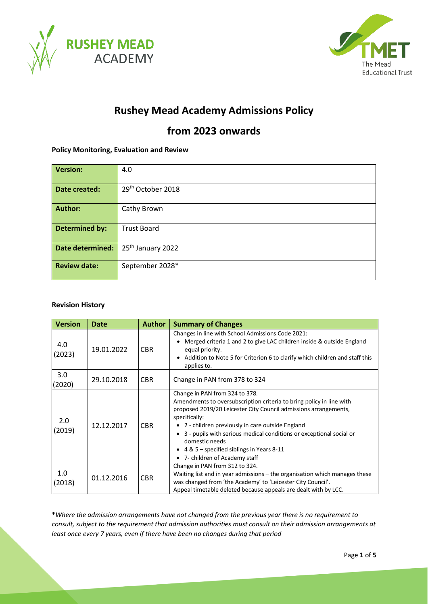



# **Rushey Mead Academy Admissions Policy**

## **from 2023 onwards**

## **Policy Monitoring, Evaluation and Review**

| <b>Version:</b>         | 4.0                           |  |  |  |
|-------------------------|-------------------------------|--|--|--|
| Date created:           | 29 <sup>th</sup> October 2018 |  |  |  |
| <b>Author:</b>          | Cathy Brown                   |  |  |  |
| <b>Determined by:</b>   | <b>Trust Board</b>            |  |  |  |
| <b>Date determined:</b> | 25 <sup>th</sup> January 2022 |  |  |  |
| <b>Review date:</b>     | September 2028*               |  |  |  |

## **Revision History**

| <b>Version</b> | <b>Date</b> | <b>Author</b> | <b>Summary of Changes</b>                                                                                                                                                                                                                                                                                                                                                                                                   |
|----------------|-------------|---------------|-----------------------------------------------------------------------------------------------------------------------------------------------------------------------------------------------------------------------------------------------------------------------------------------------------------------------------------------------------------------------------------------------------------------------------|
| 4.0<br>(2023)  | 19.01.2022  | <b>CBR</b>    | Changes in line with School Admissions Code 2021:<br>Merged criteria 1 and 2 to give LAC children inside & outside England<br>equal priority.<br>Addition to Note 5 for Criterion 6 to clarify which children and staff this<br>applies to.                                                                                                                                                                                 |
| 3.0<br>(2020)  | 29.10.2018  | <b>CBR</b>    | Change in PAN from 378 to 324                                                                                                                                                                                                                                                                                                                                                                                               |
| 2.0<br>(2019)  | 12.12.2017  | <b>CBR</b>    | Change in PAN from 324 to 378.<br>Amendments to oversubscription criteria to bring policy in line with<br>proposed 2019/20 Leicester City Council admissions arrangements,<br>specifically:<br>• 2 - children previously in care outside England<br>3 - pupils with serious medical conditions or exceptional social or<br>domestic needs<br>• $4 & 5$ – specified siblings in Years 8-11<br>• 7- children of Academy staff |
| 1.0<br>(2018)  | 01.12.2016  | <b>CBR</b>    | Change in PAN from 312 to 324.<br>Waiting list and in year admissions – the organisation which manages these<br>was changed from 'the Academy' to 'Leicester City Council'.<br>Appeal timetable deleted because appeals are dealt with by LCC.                                                                                                                                                                              |

**\****Where the admission arrangements have not changed from the previous year there is no requirement to consult, subject to the requirement that admission authorities must consult on their admission arrangements at least once every 7 years, even if there have been no changes during that period*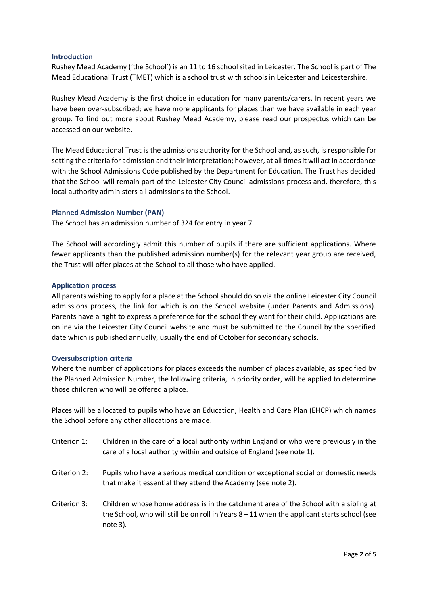### **Introduction**

Rushey Mead Academy ('the School') is an 11 to 16 school sited in Leicester. The School is part of The Mead Educational Trust (TMET) which is a school trust with schools in Leicester and Leicestershire.

Rushey Mead Academy is the first choice in education for many parents/carers. In recent years we have been over-subscribed; we have more applicants for places than we have available in each year group. To find out more about Rushey Mead Academy, please read our prospectus which can be accessed on our website.

The Mead Educational Trust is the admissions authority for the School and, as such, is responsible for setting the criteria for admission and their interpretation; however, at all times it will act in accordance with the School Admissions Code published by the Department for Education. The Trust has decided that the School will remain part of the Leicester City Council admissions process and, therefore, this local authority administers all admissions to the School.

## **Planned Admission Number (PAN)**

The School has an admission number of 324 for entry in year 7.

The School will accordingly admit this number of pupils if there are sufficient applications. Where fewer applicants than the published admission number(s) for the relevant year group are received, the Trust will offer places at the School to all those who have applied.

### **Application process**

All parents wishing to apply for a place at the School should do so via the online Leicester City Council admissions process, the link for which is on the School website (under Parents and Admissions). Parents have a right to express a preference for the school they want for their child. Applications are online via the Leicester City Council website and must be submitted to the Council by the specified date which is published annually, usually the end of October for secondary schools.

#### **Oversubscription criteria**

Where the number of applications for places exceeds the number of places available, as specified by the Planned Admission Number, the following criteria, in priority order, will be applied to determine those children who will be offered a place.

Places will be allocated to pupils who have an Education, Health and Care Plan (EHCP) which names the School before any other allocations are made.

- Criterion 1: Children in the care of a local authority within England or who were previously in the care of a local authority within and outside of England (see note 1).
- Criterion 2: Pupils who have a serious medical condition or exceptional social or domestic needs that make it essential they attend the Academy (see note 2).
- Criterion 3: Children whose home address is in the catchment area of the School with a sibling at the School, who will still be on roll in Years 8 – 11 when the applicant starts school (see note 3).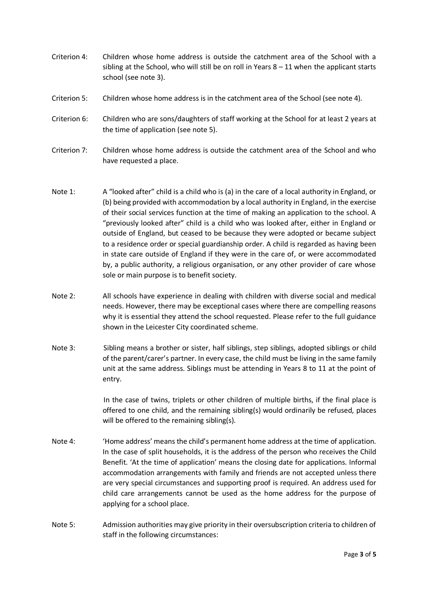- Criterion 4: Children whose home address is outside the catchment area of the School with a sibling at the School, who will still be on roll in Years  $8 - 11$  when the applicant starts school (see note 3).
- Criterion 5: Children whose home address is in the catchment area of the School (see note 4).
- Criterion 6: Children who are sons/daughters of staff working at the School for at least 2 years at the time of application (see note 5).
- Criterion 7: Children whose home address is outside the catchment area of the School and who have requested a place.
- Note 1: A "looked after" child is a child who is (a) in the care of a local authority in England, or (b) being provided with accommodation by a local authority in England, in the exercise of their social services function at the time of making an application to the school. A "previously looked after" child is a child who was looked after, either in England or outside of England, but ceased to be because they were adopted or became subject to a residence order or special guardianship order. A child is regarded as having been in state care outside of England if they were in the care of, or were accommodated by, a public authority, a religious organisation, or any other provider of care whose sole or main purpose is to benefit society.
- Note 2: All schools have experience in dealing with children with diverse social and medical needs. However, there may be exceptional cases where there are compelling reasons why it is essential they attend the school requested. Please refer to the full guidance shown in the Leicester City coordinated scheme.
- Note 3: Sibling means a brother or sister, half siblings, step siblings, adopted siblings or child of the parent/carer's partner. In every case, the child must be living in the same family unit at the same address. Siblings must be attending in Years 8 to 11 at the point of entry.

In the case of twins, triplets or other children of multiple births, if the final place is offered to one child, and the remaining sibling(s) would ordinarily be refused, places will be offered to the remaining sibling(s).

- Note 4: 'Home address' means the child's permanent home address at the time of application. In the case of split households, it is the address of the person who receives the Child Benefit. 'At the time of application' means the closing date for applications. Informal accommodation arrangements with family and friends are not accepted unless there are very special circumstances and supporting proof is required. An address used for child care arrangements cannot be used as the home address for the purpose of applying for a school place.
- Note 5: Admission authorities may give priority in their oversubscription criteria to children of staff in the following circumstances: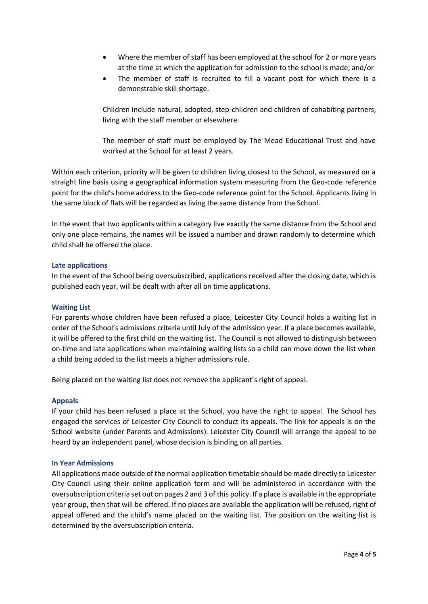- Where the member of staff has been employed at the school for 2 or more years at the time at which the application for admission to the school is made; and/or
- The member of staff is recruited to fill a vacant post for which there is a demonstrable skill shortage.

Children include natural, adopted, step-children and children of cohabiting partners, living with the staff member or elsewhere.

The member of staff must be employed by The Mead Educational Trust and have worked at the School for at least 2 years.

Within each criterion, priority will be given to children living closest to the School, as measured on a straight line basis using a geographical information system measuring from the Geo-code reference point for the child's home address to the Geo-code reference point for the School. Applicants living in the same block of flats will be regarded as living the same distance from the School.

In the event that two applicants within a category live exactly the same distance from the School and only one place remains, the names will be issued a number and drawn randomly to determine which child shall be offered the place.

## **Late applications**

In the event of the School being oversubscribed, applications received after the closing date, which is published each year, will be dealt with after all on time applications.

## **Waiting List**

For parents whose children have been refused a place, Leicester City Council holds a waiting list in order of the School's admissions criteria until July of the admission year. If a place becomes available, it will be offered to the first child on the waiting list. The Council is not allowed to distinguish between on-time and late applications when maintaining waiting lists so a child can move down the list when a child being added to the list meets a higher admissions rule.

Being placed on the waiting list does not remove the applicant's right of appeal.

#### **Appeals**

If your child has been refused a place at the School, you have the right to appeal. The School has engaged the services of Leicester City Council to conduct its appeals. The link for appeals is on the School website (under Parents and Admissions). Leicester City Council will arrange the appeal to be heard by an independent panel, whose decision is binding on all parties.

#### **In Year Admissions**

All applications made outside of the normal application timetable should be made directly to Leicester City Council using their online application form and will be administered in accordance with the oversubscription criteria set out on pages 2 and 3 of this policy. If a place is available in the appropriate year group, then that will be offered. If no places are available the application will be refused, right of appeal offered and the child's name placed on the waiting list. The position on the waiting list is determined by the oversubscription criteria.